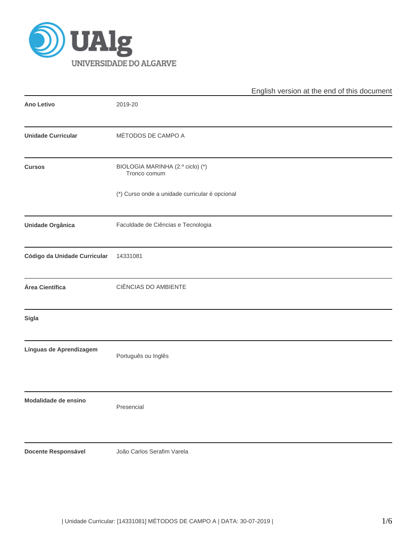

|                              |                                                  | English version at the end of this document |
|------------------------------|--------------------------------------------------|---------------------------------------------|
| <b>Ano Letivo</b>            | 2019-20                                          |                                             |
| <b>Unidade Curricular</b>    | MÉTODOS DE CAMPO A                               |                                             |
| <b>Cursos</b>                | BIOLOGIA MARINHA (2.º ciclo) (*)<br>Tronco comum |                                             |
|                              | (*) Curso onde a unidade curricular é opcional   |                                             |
| <b>Unidade Orgânica</b>      | Faculdade de Ciências e Tecnologia               |                                             |
| Código da Unidade Curricular | 14331081                                         |                                             |
| Área Científica              | CIÊNCIAS DO AMBIENTE                             |                                             |
| <b>Sigla</b>                 |                                                  |                                             |
| Línguas de Aprendizagem      | Português ou Inglês                              |                                             |
| Modalidade de ensino         | Presencial                                       |                                             |
| <b>Docente Responsável</b>   | João Carlos Serafim Varela                       |                                             |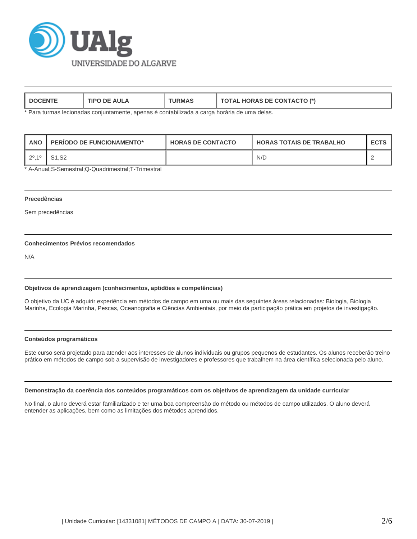

| <b>AIII</b><br>ſIP∖<br>- M | RMP. | $(2TO t*)$<br><b>HORAS DE CONTACTO</b><br>OIAL |
|----------------------------|------|------------------------------------------------|
|----------------------------|------|------------------------------------------------|

\* Para turmas lecionadas conjuntamente, apenas é contabilizada a carga horária de uma delas.

| <b>ANO</b>                | <b>PERIODO DE FUNCIONAMENTO*</b> | <b>HORAS DE CONTACTO</b> | <b>HORAS TOTAIS DE TRABALHO</b> | <b>ECTS</b> |
|---------------------------|----------------------------------|--------------------------|---------------------------------|-------------|
| $2^{\circ}$ .1 $^{\circ}$ | S <sub>1.</sub> S <sub>2</sub>   |                          | N/D                             |             |

\* A-Anual;S-Semestral;Q-Quadrimestral;T-Trimestral

## **Precedências**

Sem precedências

# **Conhecimentos Prévios recomendados**

N/A

## **Objetivos de aprendizagem (conhecimentos, aptidões e competências)**

O objetivo da UC é adquirir experiência em métodos de campo em uma ou mais das seguintes áreas relacionadas: Biologia, Biologia Marinha, Ecologia Marinha, Pescas, Oceanografia e Ciências Ambientais, por meio da participação prática em projetos de investigação.

## **Conteúdos programáticos**

Este curso será projetado para atender aos interesses de alunos individuais ou grupos pequenos de estudantes. Os alunos receberão treino prático em métodos de campo sob a supervisão de investigadores e professores que trabalhem na área científica selecionada pelo aluno.

## **Demonstração da coerência dos conteúdos programáticos com os objetivos de aprendizagem da unidade curricular**

No final, o aluno deverá estar familiarizado e ter uma boa compreensão do método ou métodos de campo utilizados. O aluno deverá entender as aplicações, bem como as limitações dos métodos aprendidos.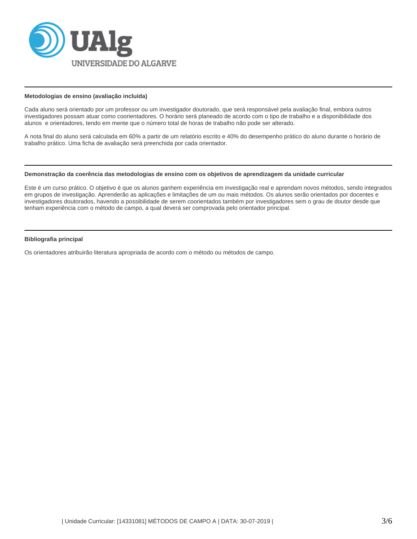

#### **Metodologias de ensino (avaliação incluída)**

Cada aluno será orientado por um professor ou um investigador doutorado, que será responsável pela avaliação final, embora outros investigadores possam atuar como coorientadores. O horário será planeado de acordo com o tipo de trabalho e a disponibilidade dos alunos e orientadores, tendo em mente que o número total de horas de trabalho não pode ser alterado.

A nota final do aluno será calculada em 60% a partir de um relatório escrito e 40% do desempenho prático do aluno durante o horário de trabalho prático. Uma ficha de avaliação será preenchida por cada orientador.

#### **Demonstração da coerência das metodologias de ensino com os objetivos de aprendizagem da unidade curricular**

Este é um curso prático. O objetivo é que os alunos ganhem experiência em investigação real e aprendam novos métodos, sendo integrados em grupos de investigação. Aprenderão as aplicações e limitações de um ou mais métodos. Os alunos serão orientados por docentes e investigadores doutorados, havendo a possibilidade de serem coorientados também por investigadores sem o grau de doutor desde que tenham experiência com o método de campo, a qual deverá ser comprovada pelo orientador principal.

## **Bibliografia principal**

Os orientadores atribuirão literatura apropriada de acordo com o método ou métodos de campo.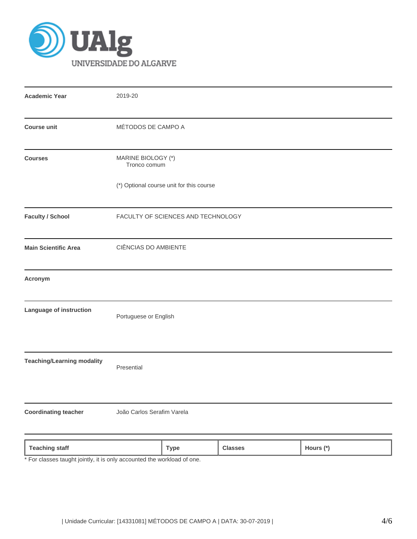

| <b>Academic Year</b>              | 2019-20                                  |             |                |           |  |  |
|-----------------------------------|------------------------------------------|-------------|----------------|-----------|--|--|
| <b>Course unit</b>                | MÉTODOS DE CAMPO A                       |             |                |           |  |  |
| <b>Courses</b>                    | MARINE BIOLOGY (*)<br>Tronco comum       |             |                |           |  |  |
|                                   | (*) Optional course unit for this course |             |                |           |  |  |
| <b>Faculty / School</b>           | FACULTY OF SCIENCES AND TECHNOLOGY       |             |                |           |  |  |
| <b>Main Scientific Area</b>       | CIÊNCIAS DO AMBIENTE                     |             |                |           |  |  |
| Acronym                           |                                          |             |                |           |  |  |
| Language of instruction           | Portuguese or English                    |             |                |           |  |  |
| <b>Teaching/Learning modality</b> | Presential                               |             |                |           |  |  |
| <b>Coordinating teacher</b>       | João Carlos Serafim Varela               |             |                |           |  |  |
| <b>Teaching staff</b>             |                                          | <b>Type</b> | <b>Classes</b> | Hours (*) |  |  |

\* For classes taught jointly, it is only accounted the workload of one.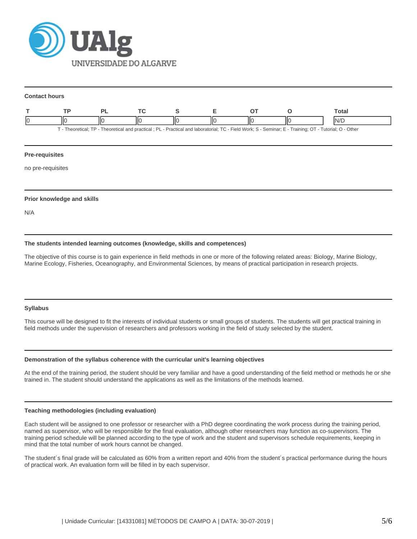

#### **Contact hours**

|                                                                                                                                                         |     |  |  |  |    |  |  | Total |
|---------------------------------------------------------------------------------------------------------------------------------------------------------|-----|--|--|--|----|--|--|-------|
|                                                                                                                                                         | II( |  |  |  | IЮ |  |  | IN/E  |
| - Practical and laboratorial: TC - Field Work: S - Seminar: E - Training: OT - Tutorial: O - Other -<br>Theoretical: TP - Theoretical and practical: PL |     |  |  |  |    |  |  |       |

## **Pre-requisites**

no pre-requisites

## **Prior knowledge and skills**

N/A

## **The students intended learning outcomes (knowledge, skills and competences)**

The objective of this course is to gain experience in field methods in one or more of the following related areas: Biology, Marine Biology, Marine Ecology, Fisheries, Oceanography, and Environmental Sciences, by means of practical participation in research projects.

#### **Syllabus**

This course will be designed to fit the interests of individual students or small groups of students. The students will get practical training in field methods under the supervision of researchers and professors working in the field of study selected by the student.

#### **Demonstration of the syllabus coherence with the curricular unit's learning objectives**

At the end of the training period, the student should be very familiar and have a good understanding of the field method or methods he or she trained in. The student should understand the applications as well as the limitations of the methods learned.

#### **Teaching methodologies (including evaluation)**

Each student will be assigned to one professor or researcher with a PhD degree coordinating the work process during the training period, named as supervisor, who will be responsible for the final evaluation, although other researchers may function as co-supervisors. The training period schedule will be planned according to the type of work and the student and supervisors schedule requirements, keeping in mind that the total number of work hours cannot be changed.

The student´s final grade will be calculated as 60% from a written report and 40% from the student´s practical performance during the hours of practical work. An evaluation form will be filled in by each supervisor.